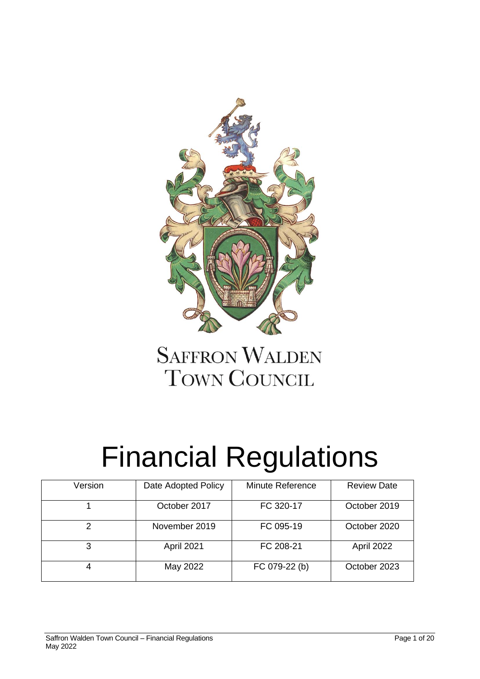

# **SAFFRON WALDEN TOWN COUNCIL**

# Financial Regulations

| Version | Date Adopted Policy | <b>Minute Reference</b> | <b>Review Date</b> |
|---------|---------------------|-------------------------|--------------------|
|         |                     |                         |                    |
|         | October 2017        | FC 320-17               | October 2019       |
|         |                     |                         |                    |
| っ       | November 2019       | FC 095-19               | October 2020       |
|         |                     |                         |                    |
| 3       | April 2021          | FC 208-21               | April 2022         |
|         |                     |                         |                    |
|         | May 2022            | FC 079-22 (b)           | October 2023       |
|         |                     |                         |                    |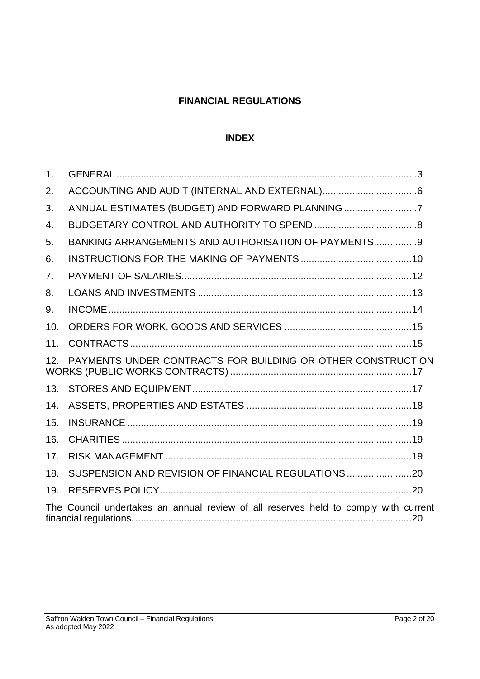# **FINANCIAL REGULATIONS**

# **INDEX**

| 1 <sub>1</sub> |                                                                                     |
|----------------|-------------------------------------------------------------------------------------|
| 2.             |                                                                                     |
| 3.             | ANNUAL ESTIMATES (BUDGET) AND FORWARD PLANNING 7                                    |
| 4.             |                                                                                     |
| 5.             | BANKING ARRANGEMENTS AND AUTHORISATION OF PAYMENTS 9                                |
| 6.             |                                                                                     |
| 7.             |                                                                                     |
| 8.             |                                                                                     |
| 9.             |                                                                                     |
| 10.            |                                                                                     |
| 11.            |                                                                                     |
| 12.            | PAYMENTS UNDER CONTRACTS FOR BUILDING OR OTHER CONSTRUCTION                         |
| 13.            |                                                                                     |
| 14.            |                                                                                     |
| 15.            |                                                                                     |
| 16.            |                                                                                     |
| 17.            |                                                                                     |
| 18.            | SUSPENSION AND REVISION OF FINANCIAL REGULATIONS                                    |
| 19.            |                                                                                     |
|                | The Council undertakes an annual review of all reserves held to comply with current |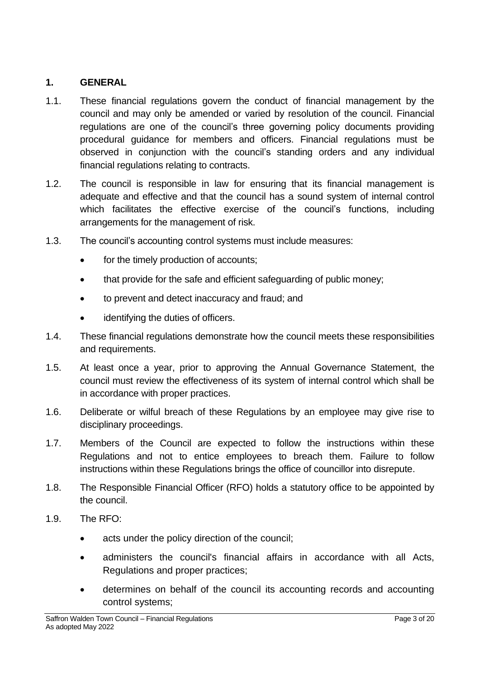#### <span id="page-2-0"></span>**1. GENERAL**

- 1.1. These financial regulations govern the conduct of financial management by the council and may only be amended or varied by resolution of the council. Financial regulations are one of the council's three governing policy documents providing procedural guidance for members and officers. Financial regulations must be observed in conjunction with the council's standing orders and any individual financial regulations relating to contracts.
- 1.2. The council is responsible in law for ensuring that its financial management is adequate and effective and that the council has a sound system of internal control which facilitates the effective exercise of the council's functions, including arrangements for the management of risk.
- 1.3. The council's accounting control systems must include measures:
	- for the timely production of accounts;
	- that provide for the safe and efficient safeguarding of public money:
	- to prevent and detect inaccuracy and fraud; and
	- identifying the duties of officers.
- 1.4. These financial regulations demonstrate how the council meets these responsibilities and requirements.
- 1.5. At least once a year, prior to approving the Annual Governance Statement, the council must review the effectiveness of its system of internal control which shall be in accordance with proper practices.
- 1.6. Deliberate or wilful breach of these Regulations by an employee may give rise to disciplinary proceedings.
- 1.7. Members of the Council are expected to follow the instructions within these Regulations and not to entice employees to breach them. Failure to follow instructions within these Regulations brings the office of councillor into disrepute.
- 1.8. The Responsible Financial Officer (RFO) holds a statutory office to be appointed by the council.
- 1.9. The RFO:
	- acts under the policy direction of the council;
	- administers the council's financial affairs in accordance with all Acts, Regulations and proper practices;
	- determines on behalf of the council its accounting records and accounting control systems;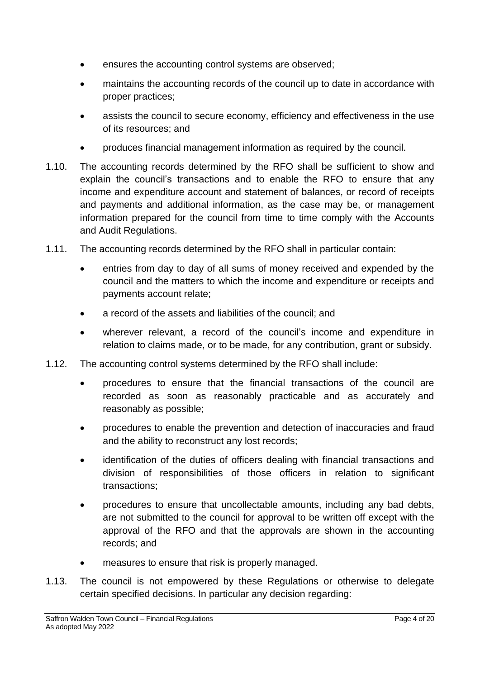- ensures the accounting control systems are observed;
- maintains the accounting records of the council up to date in accordance with proper practices;
- assists the council to secure economy, efficiency and effectiveness in the use of its resources; and
- produces financial management information as required by the council.
- 1.10. The accounting records determined by the RFO shall be sufficient to show and explain the council's transactions and to enable the RFO to ensure that any income and expenditure account and statement of balances, or record of receipts and payments and additional information, as the case may be, or management information prepared for the council from time to time comply with the Accounts and Audit Regulations.
- 1.11. The accounting records determined by the RFO shall in particular contain:
	- entries from day to day of all sums of money received and expended by the council and the matters to which the income and expenditure or receipts and payments account relate;
	- a record of the assets and liabilities of the council; and
	- wherever relevant, a record of the council's income and expenditure in relation to claims made, or to be made, for any contribution, grant or subsidy.
- 1.12. The accounting control systems determined by the RFO shall include:
	- procedures to ensure that the financial transactions of the council are recorded as soon as reasonably practicable and as accurately and reasonably as possible;
	- procedures to enable the prevention and detection of inaccuracies and fraud and the ability to reconstruct any lost records;
	- identification of the duties of officers dealing with financial transactions and division of responsibilities of those officers in relation to significant transactions;
	- procedures to ensure that uncollectable amounts, including any bad debts, are not submitted to the council for approval to be written off except with the approval of the RFO and that the approvals are shown in the accounting records; and
	- measures to ensure that risk is properly managed.
- 1.13. The council is not empowered by these Regulations or otherwise to delegate certain specified decisions. In particular any decision regarding: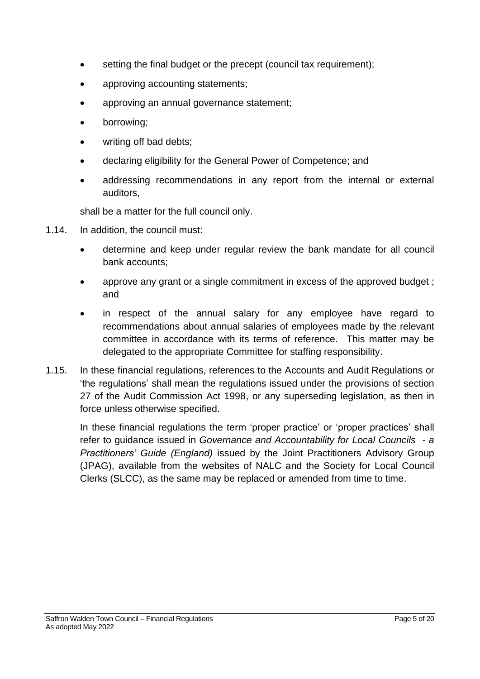- setting the final budget or the precept (council tax requirement);
- approving accounting statements;
- approving an annual governance statement;
- borrowing;
- writing off bad debts;
- declaring eligibility for the General Power of Competence; and
- addressing recommendations in any report from the internal or external auditors,

shall be a matter for the full council only.

- 1.14. In addition, the council must:
	- determine and keep under regular review the bank mandate for all council bank accounts;
	- approve any grant or a single commitment in excess of the approved budget; and
	- in respect of the annual salary for any employee have regard to recommendations about annual salaries of employees made by the relevant committee in accordance with its terms of reference. This matter may be delegated to the appropriate Committee for staffing responsibility.
- 1.15. In these financial regulations, references to the Accounts and Audit Regulations or 'the regulations' shall mean the regulations issued under the provisions of section 27 of the Audit Commission Act 1998, or any superseding legislation, as then in force unless otherwise specified.

In these financial regulations the term 'proper practice' or 'proper practices' shall refer to guidance issued in *Governance and Accountability for Local Councils - a Practitioners' Guide (England)* issued by the Joint Practitioners Advisory Group (JPAG), available from the websites of NALC and the Society for Local Council Clerks (SLCC), as the same may be replaced or amended from time to time.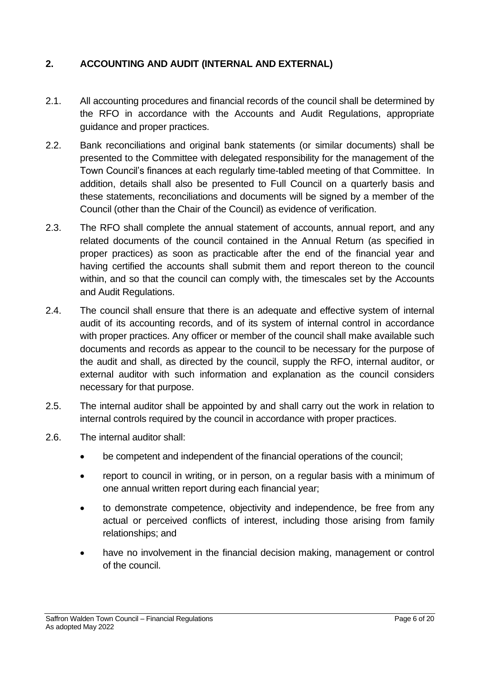# <span id="page-5-0"></span>**2. ACCOUNTING AND AUDIT (INTERNAL AND EXTERNAL)**

- 2.1. All accounting procedures and financial records of the council shall be determined by the RFO in accordance with the Accounts and Audit Regulations, appropriate guidance and proper practices.
- 2.2. Bank reconciliations and original bank statements (or similar documents) shall be presented to the Committee with delegated responsibility for the management of the Town Council's finances at each regularly time-tabled meeting of that Committee. In addition, details shall also be presented to Full Council on a quarterly basis and these statements, reconciliations and documents will be signed by a member of the Council (other than the Chair of the Council) as evidence of verification.
- 2.3. The RFO shall complete the annual statement of accounts, annual report, and any related documents of the council contained in the Annual Return (as specified in proper practices) as soon as practicable after the end of the financial year and having certified the accounts shall submit them and report thereon to the council within, and so that the council can comply with, the timescales set by the Accounts and Audit Regulations.
- 2.4. The council shall ensure that there is an adequate and effective system of internal audit of its accounting records, and of its system of internal control in accordance with proper practices. Any officer or member of the council shall make available such documents and records as appear to the council to be necessary for the purpose of the audit and shall, as directed by the council, supply the RFO, internal auditor, or external auditor with such information and explanation as the council considers necessary for that purpose.
- 2.5. The internal auditor shall be appointed by and shall carry out the work in relation to internal controls required by the council in accordance with proper practices.
- 2.6. The internal auditor shall:
	- be competent and independent of the financial operations of the council;
	- report to council in writing, or in person, on a regular basis with a minimum of one annual written report during each financial year;
	- to demonstrate competence, objectivity and independence, be free from any actual or perceived conflicts of interest, including those arising from family relationships; and
	- have no involvement in the financial decision making, management or control of the council.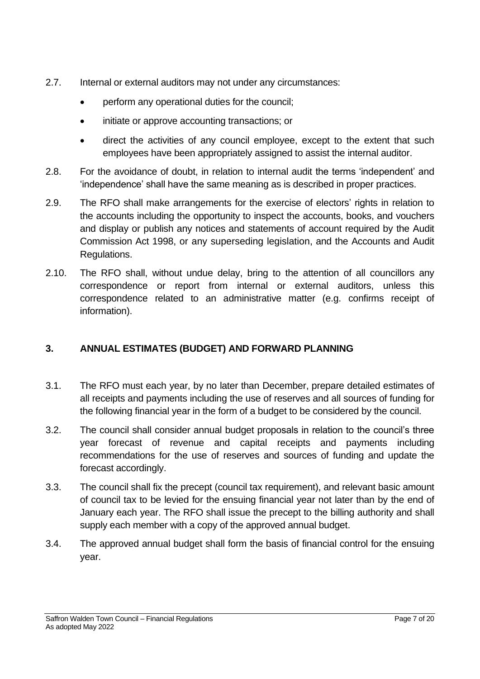- 2.7. Internal or external auditors may not under any circumstances:
	- perform any operational duties for the council;
	- initiate or approve accounting transactions; or
	- direct the activities of any council employee, except to the extent that such employees have been appropriately assigned to assist the internal auditor.
- 2.8. For the avoidance of doubt, in relation to internal audit the terms 'independent' and 'independence' shall have the same meaning as is described in proper practices.
- 2.9. The RFO shall make arrangements for the exercise of electors' rights in relation to the accounts including the opportunity to inspect the accounts, books, and vouchers and display or publish any notices and statements of account required by the Audit Commission Act 1998, or any superseding legislation, and the Accounts and Audit Regulations.
- 2.10. The RFO shall, without undue delay, bring to the attention of all councillors any correspondence or report from internal or external auditors, unless this correspondence related to an administrative matter (e.g. confirms receipt of information).

# <span id="page-6-0"></span>**3. ANNUAL ESTIMATES (BUDGET) AND FORWARD PLANNING**

- 3.1. The RFO must each year, by no later than December, prepare detailed estimates of all receipts and payments including the use of reserves and all sources of funding for the following financial year in the form of a budget to be considered by the council.
- 3.2. The council shall consider annual budget proposals in relation to the council's three year forecast of revenue and capital receipts and payments including recommendations for the use of reserves and sources of funding and update the forecast accordingly.
- 3.3. The council shall fix the precept (council tax requirement), and relevant basic amount of council tax to be levied for the ensuing financial year not later than by the end of January each year. The RFO shall issue the precept to the billing authority and shall supply each member with a copy of the approved annual budget.
- 3.4. The approved annual budget shall form the basis of financial control for the ensuing year.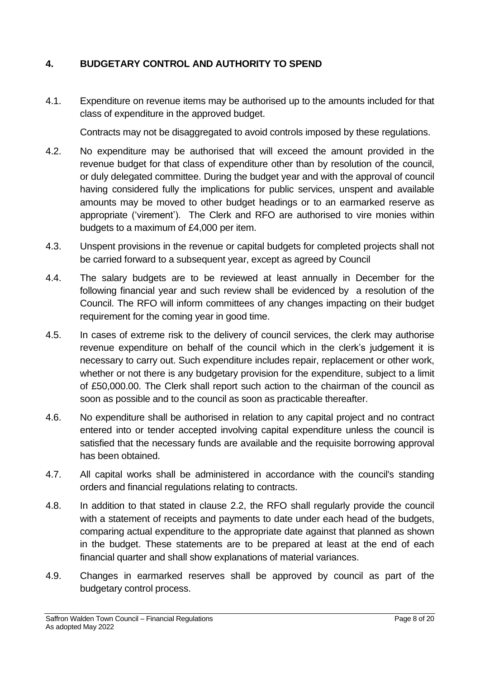# <span id="page-7-0"></span>**4. BUDGETARY CONTROL AND AUTHORITY TO SPEND**

4.1. Expenditure on revenue items may be authorised up to the amounts included for that class of expenditure in the approved budget.

Contracts may not be disaggregated to avoid controls imposed by these regulations.

- 4.2. No expenditure may be authorised that will exceed the amount provided in the revenue budget for that class of expenditure other than by resolution of the council, or duly delegated committee. During the budget year and with the approval of council having considered fully the implications for public services, unspent and available amounts may be moved to other budget headings or to an earmarked reserve as appropriate ('virement'). The Clerk and RFO are authorised to vire monies within budgets to a maximum of £4,000 per item.
- 4.3. Unspent provisions in the revenue or capital budgets for completed projects shall not be carried forward to a subsequent year, except as agreed by Council
- 4.4. The salary budgets are to be reviewed at least annually in December for the following financial year and such review shall be evidenced by a resolution of the Council. The RFO will inform committees of any changes impacting on their budget requirement for the coming year in good time.
- 4.5. In cases of extreme risk to the delivery of council services, the clerk may authorise revenue expenditure on behalf of the council which in the clerk's judgement it is necessary to carry out. Such expenditure includes repair, replacement or other work, whether or not there is any budgetary provision for the expenditure, subject to a limit of £50,000.00. The Clerk shall report such action to the chairman of the council as soon as possible and to the council as soon as practicable thereafter.
- 4.6. No expenditure shall be authorised in relation to any capital project and no contract entered into or tender accepted involving capital expenditure unless the council is satisfied that the necessary funds are available and the requisite borrowing approval has been obtained.
- 4.7. All capital works shall be administered in accordance with the council's standing orders and financial regulations relating to contracts.
- 4.8. In addition to that stated in clause 2.2, the RFO shall regularly provide the council with a statement of receipts and payments to date under each head of the budgets, comparing actual expenditure to the appropriate date against that planned as shown in the budget. These statements are to be prepared at least at the end of each financial quarter and shall show explanations of material variances.
- 4.9. Changes in earmarked reserves shall be approved by council as part of the budgetary control process.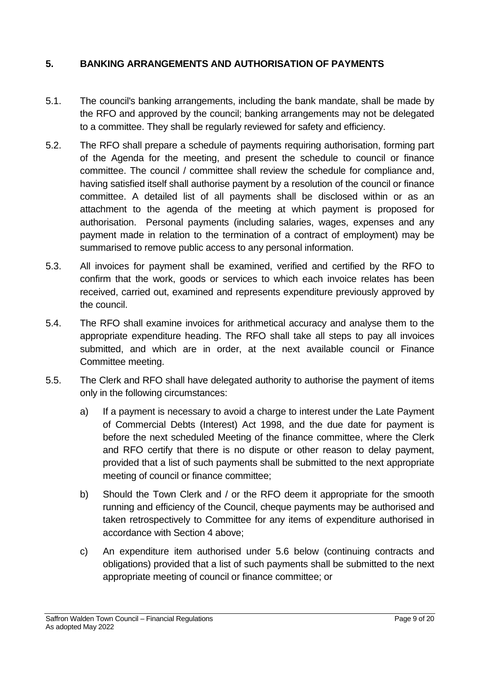# <span id="page-8-0"></span>**5. BANKING ARRANGEMENTS AND AUTHORISATION OF PAYMENTS**

- 5.1. The council's banking arrangements, including the bank mandate, shall be made by the RFO and approved by the council; banking arrangements may not be delegated to a committee. They shall be regularly reviewed for safety and efficiency.
- 5.2. The RFO shall prepare a schedule of payments requiring authorisation, forming part of the Agenda for the meeting, and present the schedule to council or finance committee. The council / committee shall review the schedule for compliance and, having satisfied itself shall authorise payment by a resolution of the council or finance committee. A detailed list of all payments shall be disclosed within or as an attachment to the agenda of the meeting at which payment is proposed for authorisation. Personal payments (including salaries, wages, expenses and any payment made in relation to the termination of a contract of employment) may be summarised to remove public access to any personal information.
- 5.3. All invoices for payment shall be examined, verified and certified by the RFO to confirm that the work, goods or services to which each invoice relates has been received, carried out, examined and represents expenditure previously approved by the council.
- 5.4. The RFO shall examine invoices for arithmetical accuracy and analyse them to the appropriate expenditure heading. The RFO shall take all steps to pay all invoices submitted, and which are in order, at the next available council or Finance Committee meeting.
- 5.5. The Clerk and RFO shall have delegated authority to authorise the payment of items only in the following circumstances:
	- a) If a payment is necessary to avoid a charge to interest under the Late Payment of Commercial Debts (Interest) Act 1998, and the due date for payment is before the next scheduled Meeting of the finance committee, where the Clerk and RFO certify that there is no dispute or other reason to delay payment, provided that a list of such payments shall be submitted to the next appropriate meeting of council or finance committee;
	- b) Should the Town Clerk and / or the RFO deem it appropriate for the smooth running and efficiency of the Council, cheque payments may be authorised and taken retrospectively to Committee for any items of expenditure authorised in accordance with Section 4 above;
	- c) An expenditure item authorised under 5.6 below (continuing contracts and obligations) provided that a list of such payments shall be submitted to the next appropriate meeting of council or finance committee; or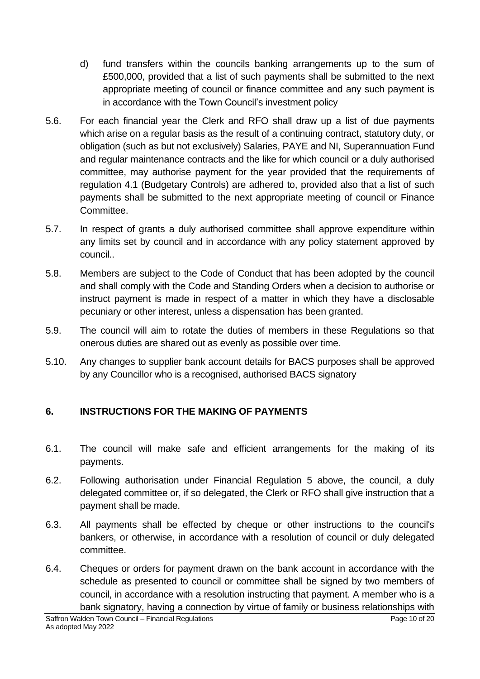- d) fund transfers within the councils banking arrangements up to the sum of £500,000, provided that a list of such payments shall be submitted to the next appropriate meeting of council or finance committee and any such payment is in accordance with the Town Council's investment policy
- 5.6. For each financial year the Clerk and RFO shall draw up a list of due payments which arise on a regular basis as the result of a continuing contract, statutory duty, or obligation (such as but not exclusively) Salaries, PAYE and NI, Superannuation Fund and regular maintenance contracts and the like for which council or a duly authorised committee, may authorise payment for the year provided that the requirements of regulation 4.1 (Budgetary Controls) are adhered to, provided also that a list of such payments shall be submitted to the next appropriate meeting of council or Finance Committee.
- 5.7. In respect of grants a duly authorised committee shall approve expenditure within any limits set by council and in accordance with any policy statement approved by council..
- 5.8. Members are subject to the Code of Conduct that has been adopted by the council and shall comply with the Code and Standing Orders when a decision to authorise or instruct payment is made in respect of a matter in which they have a disclosable pecuniary or other interest, unless a dispensation has been granted.
- 5.9. The council will aim to rotate the duties of members in these Regulations so that onerous duties are shared out as evenly as possible over time.
- 5.10. Any changes to supplier bank account details for BACS purposes shall be approved by any Councillor who is a recognised, authorised BACS signatory

# <span id="page-9-0"></span>**6. INSTRUCTIONS FOR THE MAKING OF PAYMENTS**

- 6.1. The council will make safe and efficient arrangements for the making of its payments.
- 6.2. Following authorisation under Financial Regulation 5 above, the council, a duly delegated committee or, if so delegated, the Clerk or RFO shall give instruction that a payment shall be made.
- 6.3. All payments shall be effected by cheque or other instructions to the council's bankers, or otherwise, in accordance with a resolution of council or duly delegated committee.
- 6.4. Cheques or orders for payment drawn on the bank account in accordance with the schedule as presented to council or committee shall be signed by two members of council, in accordance with a resolution instructing that payment. A member who is a bank signatory, having a connection by virtue of family or business relationships with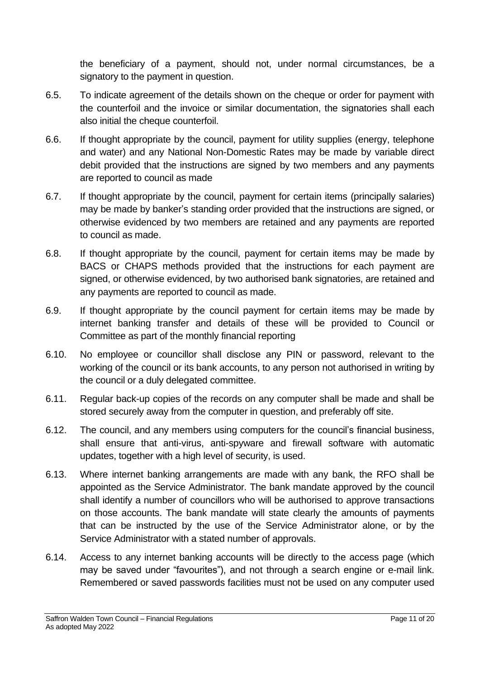the beneficiary of a payment, should not, under normal circumstances, be a signatory to the payment in question.

- 6.5. To indicate agreement of the details shown on the cheque or order for payment with the counterfoil and the invoice or similar documentation, the signatories shall each also initial the cheque counterfoil.
- 6.6. If thought appropriate by the council, payment for utility supplies (energy, telephone and water) and any National Non-Domestic Rates may be made by variable direct debit provided that the instructions are signed by two members and any payments are reported to council as made
- 6.7. If thought appropriate by the council, payment for certain items (principally salaries) may be made by banker's standing order provided that the instructions are signed, or otherwise evidenced by two members are retained and any payments are reported to council as made.
- 6.8. If thought appropriate by the council, payment for certain items may be made by BACS or CHAPS methods provided that the instructions for each payment are signed, or otherwise evidenced, by two authorised bank signatories, are retained and any payments are reported to council as made.
- 6.9. If thought appropriate by the council payment for certain items may be made by internet banking transfer and details of these will be provided to Council or Committee as part of the monthly financial reporting
- 6.10. No employee or councillor shall disclose any PIN or password, relevant to the working of the council or its bank accounts, to any person not authorised in writing by the council or a duly delegated committee.
- 6.11. Regular back-up copies of the records on any computer shall be made and shall be stored securely away from the computer in question, and preferably off site.
- 6.12. The council, and any members using computers for the council's financial business, shall ensure that anti-virus, anti-spyware and firewall software with automatic updates, together with a high level of security, is used.
- 6.13. Where internet banking arrangements are made with any bank, the RFO shall be appointed as the Service Administrator. The bank mandate approved by the council shall identify a number of councillors who will be authorised to approve transactions on those accounts. The bank mandate will state clearly the amounts of payments that can be instructed by the use of the Service Administrator alone, or by the Service Administrator with a stated number of approvals.
- 6.14. Access to any internet banking accounts will be directly to the access page (which may be saved under "favourites"), and not through a search engine or e-mail link. Remembered or saved passwords facilities must not be used on any computer used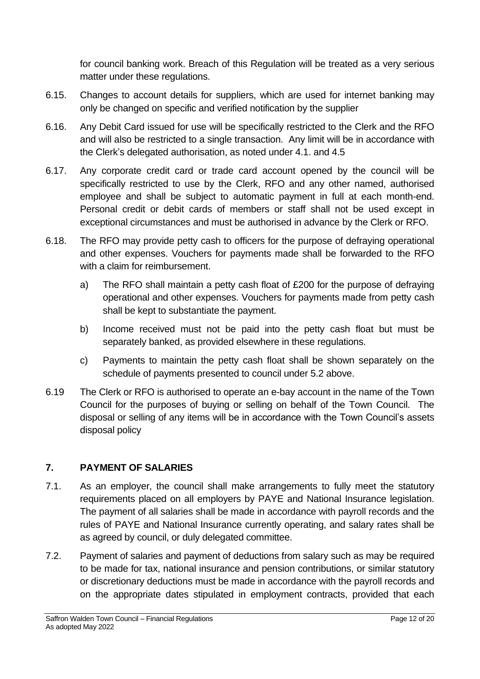for council banking work. Breach of this Regulation will be treated as a very serious matter under these regulations.

- 6.15. Changes to account details for suppliers, which are used for internet banking may only be changed on specific and verified notification by the supplier
- 6.16. Any Debit Card issued for use will be specifically restricted to the Clerk and the RFO and will also be restricted to a single transaction. Any limit will be in accordance with the Clerk's delegated authorisation, as noted under 4.1. and 4.5
- 6.17. Any corporate credit card or trade card account opened by the council will be specifically restricted to use by the Clerk, RFO and any other named, authorised employee and shall be subject to automatic payment in full at each month-end. Personal credit or debit cards of members or staff shall not be used except in exceptional circumstances and must be authorised in advance by the Clerk or RFO.
- 6.18. The RFO may provide petty cash to officers for the purpose of defraying operational and other expenses. Vouchers for payments made shall be forwarded to the RFO with a claim for reimbursement.
	- a) The RFO shall maintain a petty cash float of £200 for the purpose of defraying operational and other expenses. Vouchers for payments made from petty cash shall be kept to substantiate the payment.
	- b) Income received must not be paid into the petty cash float but must be separately banked, as provided elsewhere in these regulations.
	- c) Payments to maintain the petty cash float shall be shown separately on the schedule of payments presented to council under 5.2 above.
- 6.19 The Clerk or RFO is authorised to operate an e-bay account in the name of the Town Council for the purposes of buying or selling on behalf of the Town Council. The disposal or selling of any items will be in accordance with the Town Council's assets disposal policy

# <span id="page-11-0"></span>**7. PAYMENT OF SALARIES**

- 7.1. As an employer, the council shall make arrangements to fully meet the statutory requirements placed on all employers by PAYE and National Insurance legislation. The payment of all salaries shall be made in accordance with payroll records and the rules of PAYE and National Insurance currently operating, and salary rates shall be as agreed by council, or duly delegated committee.
- 7.2. Payment of salaries and payment of deductions from salary such as may be required to be made for tax, national insurance and pension contributions, or similar statutory or discretionary deductions must be made in accordance with the payroll records and on the appropriate dates stipulated in employment contracts, provided that each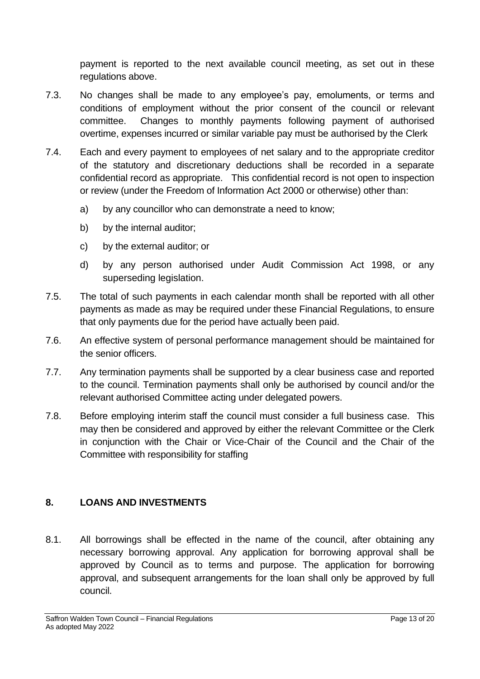payment is reported to the next available council meeting, as set out in these regulations above.

- 7.3. No changes shall be made to any employee's pay, emoluments, or terms and conditions of employment without the prior consent of the council or relevant committee. Changes to monthly payments following payment of authorised overtime, expenses incurred or similar variable pay must be authorised by the Clerk
- 7.4. Each and every payment to employees of net salary and to the appropriate creditor of the statutory and discretionary deductions shall be recorded in a separate confidential record as appropriate. This confidential record is not open to inspection or review (under the Freedom of Information Act 2000 or otherwise) other than:
	- a) by any councillor who can demonstrate a need to know;
	- b) by the internal auditor:
	- c) by the external auditor; or
	- d) by any person authorised under Audit Commission Act 1998, or any superseding legislation.
- 7.5. The total of such payments in each calendar month shall be reported with all other payments as made as may be required under these Financial Regulations, to ensure that only payments due for the period have actually been paid.
- 7.6. An effective system of personal performance management should be maintained for the senior officers.
- 7.7. Any termination payments shall be supported by a clear business case and reported to the council. Termination payments shall only be authorised by council and/or the relevant authorised Committee acting under delegated powers.
- 7.8. Before employing interim staff the council must consider a full business case. This may then be considered and approved by either the relevant Committee or the Clerk in conjunction with the Chair or Vice-Chair of the Council and the Chair of the Committee with responsibility for staffing

# <span id="page-12-0"></span>**8. LOANS AND INVESTMENTS**

8.1. All borrowings shall be effected in the name of the council, after obtaining any necessary borrowing approval. Any application for borrowing approval shall be approved by Council as to terms and purpose. The application for borrowing approval, and subsequent arrangements for the loan shall only be approved by full council.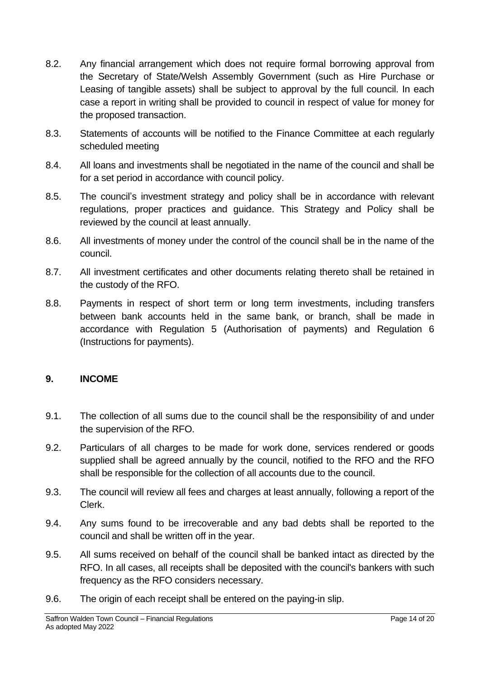- 8.2. Any financial arrangement which does not require formal borrowing approval from the Secretary of State/Welsh Assembly Government (such as Hire Purchase or Leasing of tangible assets) shall be subject to approval by the full council. In each case a report in writing shall be provided to council in respect of value for money for the proposed transaction.
- 8.3. Statements of accounts will be notified to the Finance Committee at each regularly scheduled meeting
- 8.4. All loans and investments shall be negotiated in the name of the council and shall be for a set period in accordance with council policy.
- 8.5. The council's investment strategy and policy shall be in accordance with relevant regulations, proper practices and guidance. This Strategy and Policy shall be reviewed by the council at least annually.
- 8.6. All investments of money under the control of the council shall be in the name of the council.
- 8.7. All investment certificates and other documents relating thereto shall be retained in the custody of the RFO.
- 8.8. Payments in respect of short term or long term investments, including transfers between bank accounts held in the same bank, or branch, shall be made in accordance with Regulation 5 (Authorisation of payments) and Regulation 6 (Instructions for payments).

#### <span id="page-13-0"></span>**9. INCOME**

- 9.1. The collection of all sums due to the council shall be the responsibility of and under the supervision of the RFO.
- 9.2. Particulars of all charges to be made for work done, services rendered or goods supplied shall be agreed annually by the council, notified to the RFO and the RFO shall be responsible for the collection of all accounts due to the council.
- 9.3. The council will review all fees and charges at least annually, following a report of the Clerk.
- 9.4. Any sums found to be irrecoverable and any bad debts shall be reported to the council and shall be written off in the year.
- 9.5. All sums received on behalf of the council shall be banked intact as directed by the RFO. In all cases, all receipts shall be deposited with the council's bankers with such frequency as the RFO considers necessary.
- 9.6. The origin of each receipt shall be entered on the paying-in slip.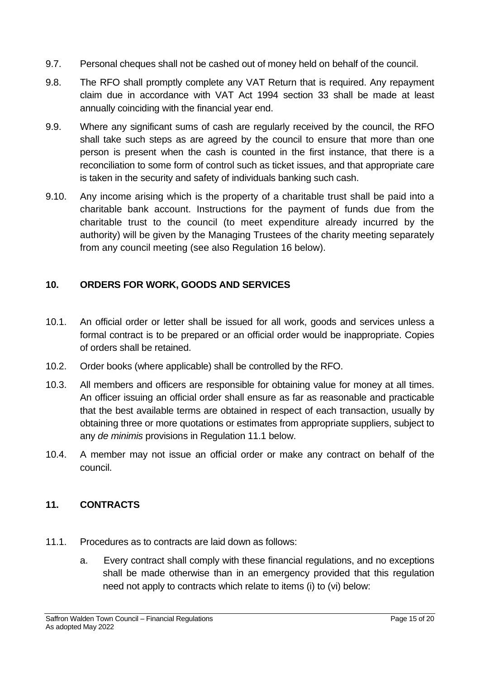- 9.7. Personal cheques shall not be cashed out of money held on behalf of the council.
- 9.8. The RFO shall promptly complete any VAT Return that is required. Any repayment claim due in accordance with VAT Act 1994 section 33 shall be made at least annually coinciding with the financial year end.
- 9.9. Where any significant sums of cash are regularly received by the council, the RFO shall take such steps as are agreed by the council to ensure that more than one person is present when the cash is counted in the first instance, that there is a reconciliation to some form of control such as ticket issues, and that appropriate care is taken in the security and safety of individuals banking such cash.
- 9.10. Any income arising which is the property of a charitable trust shall be paid into a charitable bank account. Instructions for the payment of funds due from the charitable trust to the council (to meet expenditure already incurred by the authority) will be given by the Managing Trustees of the charity meeting separately from any council meeting (see also Regulation 16 below).

# <span id="page-14-0"></span>**10. ORDERS FOR WORK, GOODS AND SERVICES**

- 10.1. An official order or letter shall be issued for all work, goods and services unless a formal contract is to be prepared or an official order would be inappropriate. Copies of orders shall be retained.
- 10.2. Order books (where applicable) shall be controlled by the RFO.
- 10.3. All members and officers are responsible for obtaining value for money at all times. An officer issuing an official order shall ensure as far as reasonable and practicable that the best available terms are obtained in respect of each transaction, usually by obtaining three or more quotations or estimates from appropriate suppliers, subject to any *de minimis* provisions in Regulation 11.1 below.
- 10.4. A member may not issue an official order or make any contract on behalf of the council.

# <span id="page-14-1"></span>**11. CONTRACTS**

- 11.1. Procedures as to contracts are laid down as follows:
	- a. Every contract shall comply with these financial regulations, and no exceptions shall be made otherwise than in an emergency provided that this regulation need not apply to contracts which relate to items (i) to (vi) below: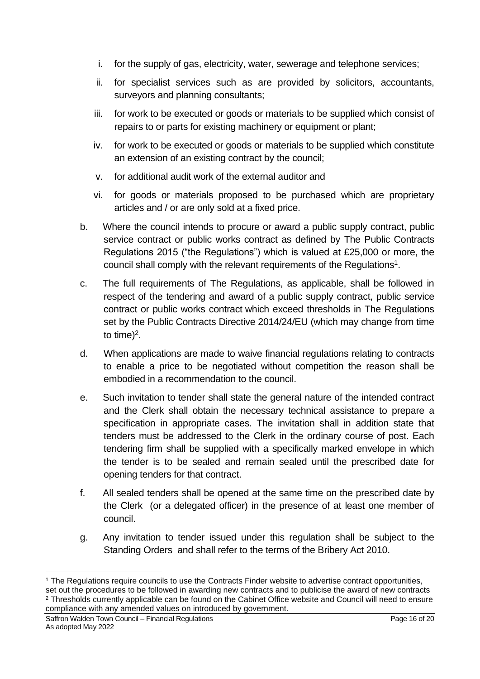- i. for the supply of gas, electricity, water, sewerage and telephone services;
- ii. for specialist services such as are provided by solicitors, accountants, surveyors and planning consultants;
- iii. for work to be executed or goods or materials to be supplied which consist of repairs to or parts for existing machinery or equipment or plant;
- iv. for work to be executed or goods or materials to be supplied which constitute an extension of an existing contract by the council;
- v. for additional audit work of the external auditor and
- vi. for goods or materials proposed to be purchased which are proprietary articles and / or are only sold at a fixed price.
- b. Where the council intends to procure or award a public supply contract, public service contract or public works contract as defined by The Public Contracts Regulations 2015 ("the Regulations") which is valued at £25,000 or more, the council shall comply with the relevant requirements of the Regulations<sup>1</sup>.
- c. The full requirements of The Regulations, as applicable, shall be followed in respect of the tendering and award of a public supply contract, public service contract or public works contract which exceed thresholds in The Regulations set by the Public Contracts Directive 2014/24/EU (which may change from time to time)<sup>2</sup>.
- d. When applications are made to waive financial regulations relating to contracts to enable a price to be negotiated without competition the reason shall be embodied in a recommendation to the council.
- e. Such invitation to tender shall state the general nature of the intended contract and the Clerk shall obtain the necessary technical assistance to prepare a specification in appropriate cases. The invitation shall in addition state that tenders must be addressed to the Clerk in the ordinary course of post. Each tendering firm shall be supplied with a specifically marked envelope in which the tender is to be sealed and remain sealed until the prescribed date for opening tenders for that contract.
- f. All sealed tenders shall be opened at the same time on the prescribed date by the Clerk (or a delegated officer) in the presence of at least one member of council.
- g. Any invitation to tender issued under this regulation shall be subject to the Standing Orders and shall refer to the terms of the Bribery Act 2010.

<sup>2</sup> Thresholds currently applicable can be found on the Cabinet Office website and Council will need to ensure compliance with any amended values on introduced by government.

<sup>&</sup>lt;sup>1</sup> The Regulations require councils to use the Contracts Finder website to advertise contract opportunities, set out the procedures to be followed in awarding new contracts and to publicise the award of new contracts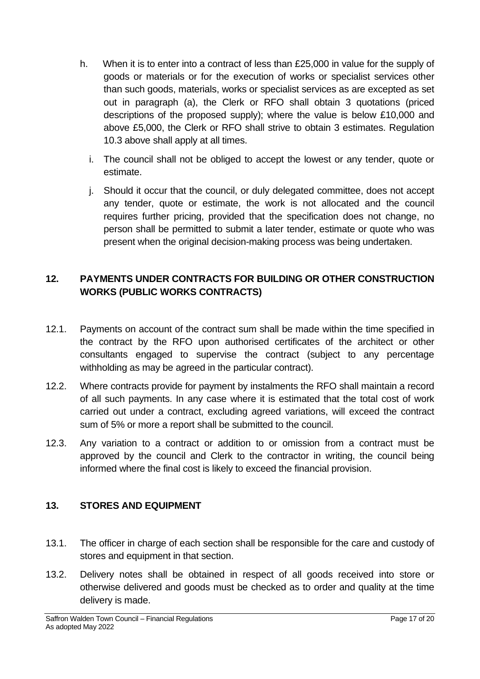- h. When it is to enter into a contract of less than £25,000 in value for the supply of goods or materials or for the execution of works or specialist services other than such goods, materials, works or specialist services as are excepted as set out in paragraph (a), the Clerk or RFO shall obtain 3 quotations (priced descriptions of the proposed supply); where the value is below £10,000 and above £5,000, the Clerk or RFO shall strive to obtain 3 estimates. Regulation 10.3 above shall apply at all times.
	- i. The council shall not be obliged to accept the lowest or any tender, quote or estimate.
	- j. Should it occur that the council, or duly delegated committee, does not accept any tender, quote or estimate, the work is not allocated and the council requires further pricing, provided that the specification does not change, no person shall be permitted to submit a later tender, estimate or quote who was present when the original decision-making process was being undertaken.

# <span id="page-16-0"></span>**12. PAYMENTS UNDER CONTRACTS FOR BUILDING OR OTHER CONSTRUCTION WORKS (PUBLIC WORKS CONTRACTS)**

- 12.1. Payments on account of the contract sum shall be made within the time specified in the contract by the RFO upon authorised certificates of the architect or other consultants engaged to supervise the contract (subject to any percentage withholding as may be agreed in the particular contract).
- 12.2. Where contracts provide for payment by instalments the RFO shall maintain a record of all such payments. In any case where it is estimated that the total cost of work carried out under a contract, excluding agreed variations, will exceed the contract sum of 5% or more a report shall be submitted to the council.
- 12.3. Any variation to a contract or addition to or omission from a contract must be approved by the council and Clerk to the contractor in writing, the council being informed where the final cost is likely to exceed the financial provision.

# <span id="page-16-1"></span>**13. STORES AND EQUIPMENT**

- 13.1. The officer in charge of each section shall be responsible for the care and custody of stores and equipment in that section.
- 13.2. Delivery notes shall be obtained in respect of all goods received into store or otherwise delivered and goods must be checked as to order and quality at the time delivery is made.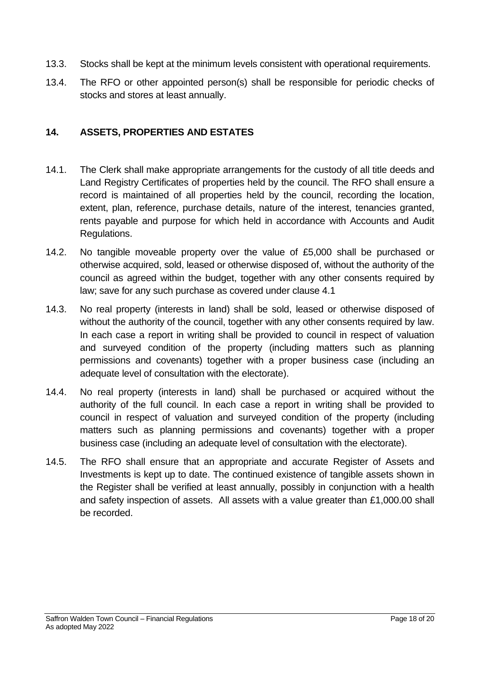- 13.3. Stocks shall be kept at the minimum levels consistent with operational requirements.
- 13.4. The RFO or other appointed person(s) shall be responsible for periodic checks of stocks and stores at least annually.

# <span id="page-17-0"></span>**14. ASSETS, PROPERTIES AND ESTATES**

- 14.1. The Clerk shall make appropriate arrangements for the custody of all title deeds and Land Registry Certificates of properties held by the council. The RFO shall ensure a record is maintained of all properties held by the council, recording the location, extent, plan, reference, purchase details, nature of the interest, tenancies granted, rents payable and purpose for which held in accordance with Accounts and Audit Regulations.
- 14.2. No tangible moveable property over the value of £5,000 shall be purchased or otherwise acquired, sold, leased or otherwise disposed of, without the authority of the council as agreed within the budget, together with any other consents required by law; save for any such purchase as covered under clause 4.1
- 14.3. No real property (interests in land) shall be sold, leased or otherwise disposed of without the authority of the council, together with any other consents required by law. In each case a report in writing shall be provided to council in respect of valuation and surveyed condition of the property (including matters such as planning permissions and covenants) together with a proper business case (including an adequate level of consultation with the electorate).
- 14.4. No real property (interests in land) shall be purchased or acquired without the authority of the full council. In each case a report in writing shall be provided to council in respect of valuation and surveyed condition of the property (including matters such as planning permissions and covenants) together with a proper business case (including an adequate level of consultation with the electorate).
- 14.5. The RFO shall ensure that an appropriate and accurate Register of Assets and Investments is kept up to date. The continued existence of tangible assets shown in the Register shall be verified at least annually, possibly in conjunction with a health and safety inspection of assets. All assets with a value greater than £1,000.00 shall be recorded.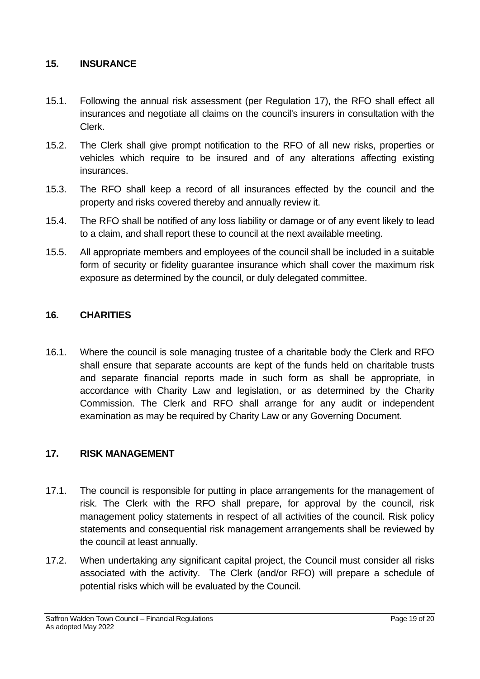### <span id="page-18-0"></span>**15. INSURANCE**

- 15.1. Following the annual risk assessment (per Regulation 17), the RFO shall effect all insurances and negotiate all claims on the council's insurers in consultation with the Clerk.
- 15.2. The Clerk shall give prompt notification to the RFO of all new risks, properties or vehicles which require to be insured and of any alterations affecting existing insurances.
- 15.3. The RFO shall keep a record of all insurances effected by the council and the property and risks covered thereby and annually review it.
- 15.4. The RFO shall be notified of any loss liability or damage or of any event likely to lead to a claim, and shall report these to council at the next available meeting.
- 15.5. All appropriate members and employees of the council shall be included in a suitable form of security or fidelity guarantee insurance which shall cover the maximum risk exposure as determined by the council, or duly delegated committee.

#### <span id="page-18-1"></span>**16. CHARITIES**

16.1. Where the council is sole managing trustee of a charitable body the Clerk and RFO shall ensure that separate accounts are kept of the funds held on charitable trusts and separate financial reports made in such form as shall be appropriate, in accordance with Charity Law and legislation, or as determined by the Charity Commission. The Clerk and RFO shall arrange for any audit or independent examination as may be required by Charity Law or any Governing Document.

#### <span id="page-18-2"></span>**17. RISK MANAGEMENT**

- 17.1. The council is responsible for putting in place arrangements for the management of risk. The Clerk with the RFO shall prepare, for approval by the council, risk management policy statements in respect of all activities of the council. Risk policy statements and consequential risk management arrangements shall be reviewed by the council at least annually.
- 17.2. When undertaking any significant capital project, the Council must consider all risks associated with the activity. The Clerk (and/or RFO) will prepare a schedule of potential risks which will be evaluated by the Council.